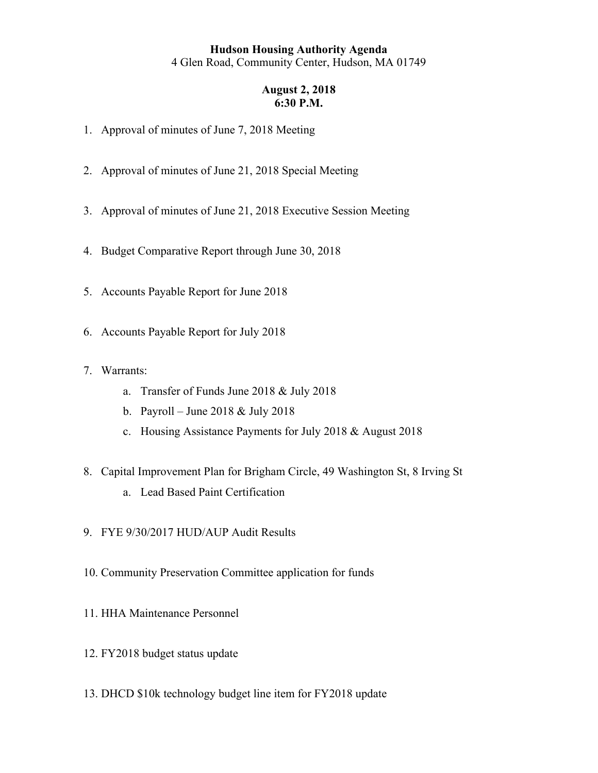# **Hudson Housing Authority Agenda**  4 Glen Road, Community Center, Hudson, MA 01749

#### **August 2, 2018 6:30 P.M.**

- 1. Approval of minutes of June 7, 2018 Meeting
- 2. Approval of minutes of June 21, 2018 Special Meeting
- 3. Approval of minutes of June 21, 2018 Executive Session Meeting
- 4. Budget Comparative Report through June 30, 2018
- 5. Accounts Payable Report for June 2018
- 6. Accounts Payable Report for July 2018
- 7. Warrants:
	- a. Transfer of Funds June 2018 & July 2018
	- b. Payroll June 2018 & July 2018
	- c. Housing Assistance Payments for July 2018 & August 2018
- 8. Capital Improvement Plan for Brigham Circle, 49 Washington St, 8 Irving St
	- a. Lead Based Paint Certification
- 9. FYE 9/30/2017 HUD/AUP Audit Results
- 10. Community Preservation Committee application for funds
- 11. HHA Maintenance Personnel
- 12. FY2018 budget status update
- 13. DHCD \$10k technology budget line item for FY2018 update